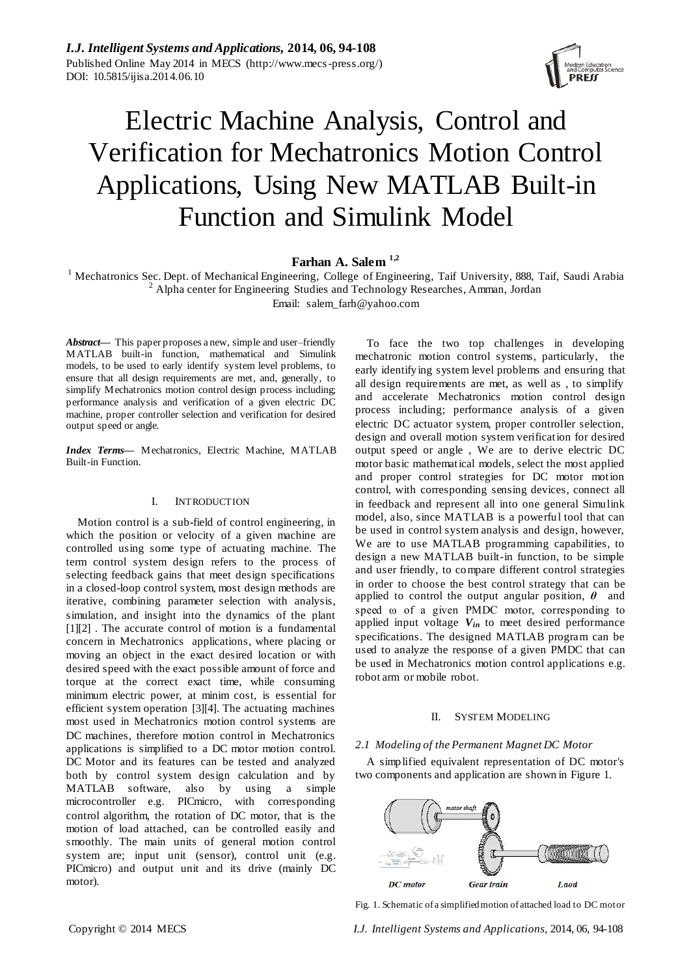

# Electric Machine Analysis, Control and Verification for Mechatronics Motion Control Applications, Using New MATLAB Built-in Function and Simulink Model

# **Farhan A. Salem 1,2**

<sup>1</sup> Mechatronics Sec. Dept. of Mechanical Engineering, College of Engineering, Taif University, 888, Taif, Saudi Arabia  $2^2$  Alpha center for Engineering Studies and Technology Researches, Amman, Jordan Email: salem\_farh@yahoo.com

*Abstract***—** This paper proposes a new, simple and user–friendly MATLAB built-in function, mathematical and Simulink models, to be used to early identify system level problems, to ensure that all design requirements are met, and, generally, to simplify Mechatronics motion control design process including; performance analysis and verification of a given electric DC machine, proper controller selection and verification for desired output speed or angle.

*Index Terms***—** Mechatronics, Electric Machine, MATLAB Built-in Function.

# I. INTRODUCTION

Motion control is a sub-field of control engineering, in which the position or velocity of a given machine are controlled using some type of actuating machine. The term control system design refers to the process of selecting feedback gains that meet design specifications in a closed-loop control system, most design methods are iterative, combining parameter selection with analysis, simulation, and insight into the dynamics of the plant [1][2] . The accurate control of motion is a fundamental concern in Mechatronics applications, where placing or moving an object in the exact desired location or with desired speed with the exact possible amount of force and torque at the correct exact time, while consuming minimum electric power, at minim cost, is essential for efficient system operation [3][4]. The actuating machines most used in Mechatronics motion control systems are DC machines, therefore motion control in Mechatronics applications is simplified to a DC motor motion control. DC Motor and its features can be tested and analyzed both by control system design calculation and by MATLAB software, also by using a simple microcontroller e.g. PICmicro, with corresponding control algorithm, the rotation of DC motor, that is the motion of load attached, can be controlled easily and smoothly. The main units of general motion control system are; input unit (sensor), control unit (e.g. PICmicro) and output unit and its drive (mainly DC motor).

To face the two top challenges in developing mechatronic motion control systems, particularly, the early identifying system level problems and ensuring that all design requirements are met, as well as , to simplify and accelerate Mechatronics motion control design process including; performance analysis of a given electric DC actuator system, proper controller selection, design and overall motion system verification for desired output speed or angle , We are to derive electric DC motor basic mathematical models, select the most applied and proper control strategies for DC motor motion control, with corresponding sensing devices, connect all in feedback and represent all into one general Simulink model, also, since MATLAB is a powerful tool that can be used in control system analysis and design, however, We are to use MATLAB programming capabilities, to design a new MATLAB built-in function, to be simple and user friendly, to compare different control strategies in order to choose the best control strategy that can be applied to control the output angular position, *θ* and speed ω of a given PMDC motor, corresponding to applied input voltage *Vin* to meet desired performance specifications. The designed MATLAB program can be used to analyze the response of a given PMDC that can be used in Mechatronics motion control applications e.g. robot arm or mobile robot.

# II. SYSTEM MODELING

# *2.1 Modeling of the Permanent Magnet DC Motor*

A simplified equivalent representation of DC motor's two components and application are shown in Figure 1.



Fig. 1. Schematic of a simplified motion of attached load to DC motor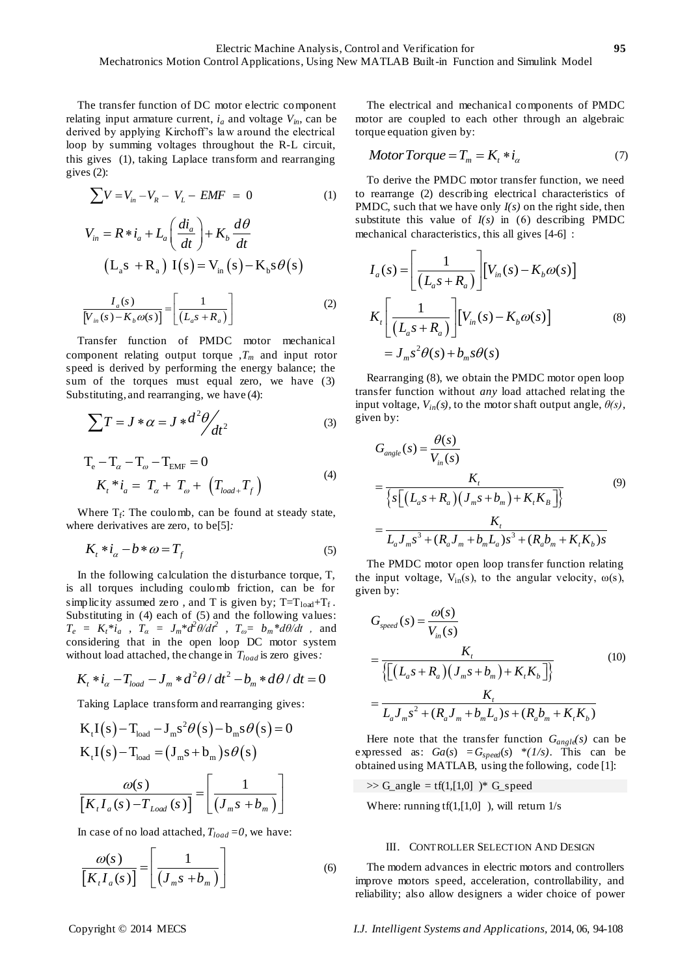The transfer function of DC motor electric component relating input armature current,  $i_a$  and voltage  $V_{in}$ , can be derived by applying Kirchoff's law around the electrical loop by summing voltages throughout the R-L circuit, this gives (1), taking Laplace transform and rearranging gives (2):

$$
\sum V = V_{in} - V_R - V_L - EMF = 0
$$
 (1)

$$
\sum_{m} P_{m} = R * i_{a} + L_{a} \left( \frac{di_{a}}{dt} \right) + K_{b} \frac{d\theta}{dt}
$$
\n
$$
\left( L_{a} s + R_{a} \right) I(s) = V_{in} (s) - K_{b} s \theta(s)
$$
\n
$$
\frac{I_{a}(s)}{[V_{in}(s) - K_{b} \omega(s)]} = \left[ \frac{1}{(L_{a} s + R_{a})} \right]
$$
\n(2)

Transfer function of PMDC motor mechanical component relating output torque ,*T<sup>m</sup>* and input rotor speed is derived by performing the energy balance; the sum of the torques must equal zero, we have (3) Substituting, and rearranging, we have (4):

$$
\sum T = J \ast \alpha = J \ast d^2 \theta / dt^2
$$
 (3)

$$
T_e - T_\alpha - T_\omega - T_{EMF} = 0
$$
  
\n
$$
K_t * i_a = T_\alpha + T_\omega + (T_{load+} T_f)
$$
 (4)

Where  $T_f$ : The coulomb, can be found at steady state, where derivatives are zero, to be[5]*:* 

$$
K_t * i_\alpha - b * \omega = T_f \tag{5}
$$

In the following calculation the disturbance torque, T, is all torques including coulomb friction, can be for simplicity assumed zero, and T is given by;  $T=T_{load}+T_f$ . Substituting in (4) each of (5) and the following values:  $T_e = K_t * i_a$ ,  $T_a = J_m * d^2\theta/dt^2$ ,  $T_{\omega} = b_m * d\theta/dt$ , and considering that in the open loop DC motor system

without load attached, the change in 
$$
T_{load}
$$
 is zero gives:  
\n $K_t * i_\alpha - T_{load} - J_m * d^2\theta / dt^2 - b_m * d\theta / dt = 0$ 

Taking Laplace transform and rearranging gives:  
\n
$$
K_{t}I(s) - T_{load} - J_{m}s^{2}\theta(s) - b_{m}s\theta(s) = 0
$$
\n
$$
K_{t}I(s) - T_{load} = (J_{m}s + b_{m})s\theta(s)
$$
\n
$$
\frac{\omega(s)}{[K_{t}I_{a}(s) - T_{load}(s)]} = \left[\frac{1}{(J_{m}s + b_{m})}\right]
$$

In case of no load attached,  $T_{load} = 0$ , we have:

$$
\frac{\omega(s)}{\left[K_{t}I_{a}(s)\right]} = \left[\frac{1}{\left(J_{m}s + b_{m}\right)}\right]
$$
\n(6)

The electrical and mechanical components of PMDC motor are coupled to each other through an algebraic torque equation given by:

$$
Motor Torque = Tm = Kt * iα
$$
 (7)

To derive the PMDC motor transfer function, we need to rearrange (2) describing electrical characteristics of PMDC, such that we have only *I(s)* on the right side, then substitute this value of  $I(s)$  in (6) describing PMDC

mechanical characteristics, this all gives [4-6]:  
\n
$$
I_a(s) = \left[ \frac{1}{(L_a s + R_a)} \right] \left[ V_m(s) - K_b \omega(s) \right]
$$
\n
$$
K_t \left[ \frac{1}{(L_a s + R_a)} \right] \left[ V_m(s) - K_b \omega(s) \right]
$$
\n
$$
= J_m s^2 \theta(s) + b_m s \theta(s)
$$
\n(8)

Rearranging (8), we obtain the PMDC motor open loop transfer function without *any* load attached relating the input voltage,  $V_{in}(s)$ , to the motor shaft output angle,  $\theta(s)$ , given by:

$$
\begin{aligned} \n\text{sn by:} \\ \nG_{angle}(s) &= \frac{\theta(s)}{V_{in}(s)} \\ \n&= \frac{K_t}{\left\{ s \left[ \left( L_a s + R_a \right) \left( J_m s + b_m \right) + K_t K_B \right] \right\}} \\ \n&= \frac{K_t}{L_a J_m s^3 + (R_a J_m + b_m L_a) s^3 + (R_a b_m + K_t K_b) s} \n\end{aligned} \tag{9}
$$

The PMDC motor open loop transfer function relating the input voltage,  $V_{in}(s)$ , to the angular velocity,  $\omega(s)$ , given by:

ven by:  
\n
$$
G_{speed}(s) = \frac{\omega(s)}{V_m(s)}
$$
\n
$$
= \frac{K_t}{\left\{ \left[ (L_a s + R_a) (J_m s + b_m) + K_t K_b \right] \right\}}
$$
\n
$$
= \frac{K_t}{L_a J_m s^2 + (R_a J_m + b_m L_a) s + (R_a b_m + K_t K_b)}
$$
\n(10)

Here note that the transfer function  $G_{angle}(s)$  can be expressed as:  $Ga(s) = G_{speed}(s) * (1/s)$ . This can be obtained using MATLAB, using the following, code [1]:

 $\Rightarrow$  G\_angle = tf(1,[1,0]  $)*$  G\_speed

Where: running  $tf(1,[1,0])$ , will return  $1/s$ 

# III. CONTROLLER SELECTION AND DESIGN

The modern advances in electric motors and controllers improve motors speed, acceleration, controllability, and reliability; also allow designers a wider choice of power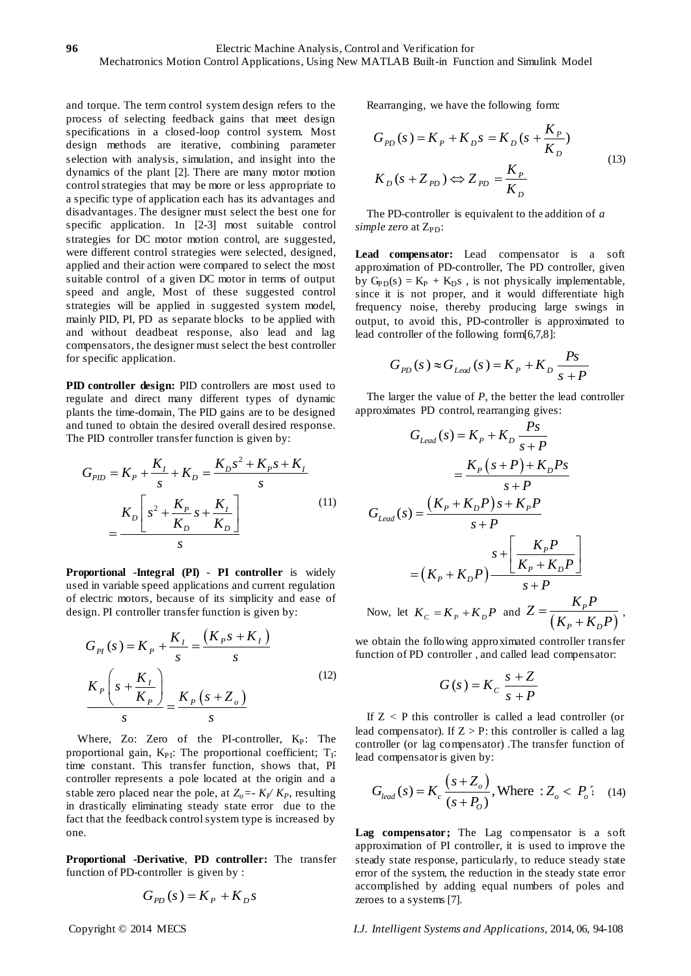and torque. The term control system design refers to the process of selecting feedback gains that meet design specifications in a closed-loop control system. Most design methods are iterative, combining parameter selection with analysis, simulation, and insight into the dynamics of the plant [2]. There are many motor motion control strategies that may be more or less appropriate to a specific type of application each has its advantages and disadvantages. The designer must select the best one for specific application. 1n [2-3] most suitable control strategies for DC motor motion control, are suggested, were different control strategies were selected, designed, applied and their action were compared to select the most suitable control of a given DC motor in terms of output speed and angle, Most of these suggested control strategies will be applied in suggested system model, mainly PID, PI, PD as separate blocks to be applied with and without deadbeat response, also lead and lag compensators, the designer must select the best controller for specific application.

**PID controller design:** PID controllers are most used to regulate and direct many different types of dynamic plants the time-domain, The PID gains are to be designed and tuned to obtain the desired overall desired response.

The PID controller transfer function is given by:  
\n
$$
G_{PID} = K_P + \frac{K_I}{s} + K_D = \frac{K_D s^2 + K_P s + K_I}{s}
$$
\n
$$
= \frac{K_D \left[ s^2 + \frac{K_P}{K_D} s + \frac{K_I}{K_D} \right]}{s}
$$
\n(11)

**Proportional -Integral (PI)** - **PI controller** is widely used in variable speed applications and current regulation of electric motors, because of its simplicity and ease of design. PI controller transfer function is given by:

$$
G_{PI}(s) = K_{P} + \frac{K_{I}}{s} = \frac{(K_{P}s + K_{I})}{s}
$$

$$
\frac{K_{P}\left(s + \frac{K_{I}}{K_{P}}\right)}{s} = \frac{K_{P}\left(s + Z_{o}\right)}{s}
$$
(12)

Where, Zo: Zero of the PI-controller, Kp: The proportional gain,  $K_{PI}$ : The proportional coefficient;  $T_I$ : time constant. This transfer function, shows that, PI controller represents a pole located at the origin and a stable zero placed near the pole, at  $Z_o = -K_f/K_p$ , resulting in drastically eliminating steady state error due to the fact that the feedback control system type is increased by one.

**Proportional -Derivative**, **PD controller:** The transfer function of PD-controller is given by :

$$
G_{pD}(s) = K_p + K_p s
$$

Rearranging, we have the following form:

$$
G_{PD}(s) = K_P + K_D s = K_D (s + \frac{K_P}{K_D})
$$
  

$$
K_D (s + Z_{PD}) \Leftrightarrow Z_{PD} = \frac{K_P}{K_D}
$$
 (13)

The PD-controller is equivalent to the addition of *a simple zero* at Z<sub>PD</sub>:

**Lead compensator:** Lead compensator is a soft approximation of PD-controller, The PD controller, given by  $G_{PD}(s) = K_P + K_D s$ , is not physically implementable, since it is not proper, and it would differentiate high frequency noise, thereby producing large swings in output, to avoid this, PD-controller is approximated to lead controller of the following form[6,7,8]:

$$
G_{pD}(s) \approx G_{lead}(s) = K_p + K_D \frac{Ps}{s + P}
$$

The larger the value of *P*, the better the lead controller approximates PD control, rearranging gives:

$$
G_{lead}(s) = K_P + K_D \frac{Ps}{s+P}
$$
  
\n
$$
= \frac{K_P (s+P) + K_D Ps}{s+P}
$$
  
\n
$$
G_{lead}(s) = \frac{(K_P + K_D P)s + K_P P}{s+P}
$$
  
\n
$$
= (K_P + K_D P) \frac{\sum_{k=1}^{N} \left[ \frac{K_P P}{K_P + K_D P} \right]}{s+P}
$$
  
\nNow, let  $K_C = K_P + K_D P$  and  $Z = \frac{K_P P}{(K_P + K_D P)}$ ,

we obtain the following approximated controller transfer function of PD controller , and called lead compensator:

$$
G(s) = K_c \frac{s+Z}{s+P}
$$

If  $Z < P$  this controller is called a lead controller (or lead compensator). If  $Z > P$ : this controller is called a lag controller (or lag compensator) .The transfer function of

lead compensator is given by:  
\n
$$
G_{lead}(s) = K_c \frac{(s + Z_o)}{(s + P_o)}, \text{Where : } Z_o < P_o' \quad (14)
$$

**Lag compensator ;** The Lag compensator is a soft approximation of PI controller, it is used to improve the steady state response, particularly, to reduce steady state error of the system, the reduction in the steady state error accomplished by adding equal numbers of poles and zeroes to a systems [7].

Copyright © 2014 MECS *I.J. Intelligent Systems and Applications,* 2014, 06, 94-108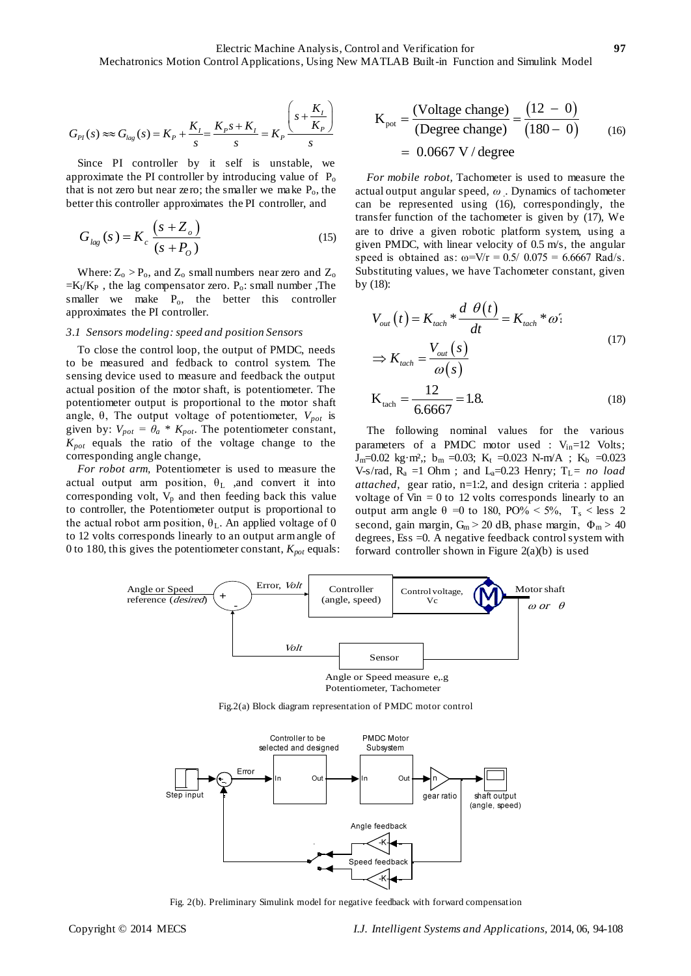$$
G_{PI}(s) \approx G_{lag}(s) = K_P + \frac{K_I}{s} = \frac{K_P s + K_I}{s} = K_P \frac{\left(s + \frac{K_I}{K_P}\right)}{s}
$$

Since PI controller by it self is unstable, we approximate the PI controller by introducing value of  $P_0$ that is not zero but near zero; the smaller we make  $P_0$ , the better this controller approximates the PI controller, and

$$
G_{lag}(s) = K_c \frac{(s + Z_o)}{(s + P_o)}
$$
\n(15)

Where:  $Z_0 > P_0$ , and  $Z_0$  small numbers near zero and  $Z_0$  $=$ K<sub>I</sub>/K<sub>P</sub>, the lag compensator zero. P<sub>o</sub>: small number, The smaller we make  $P_0$ , the better this controller approximates the PI controller.

## *3.1 Sensors modeling: speed and position Sensors*

To close the control loop, the output of PMDC, needs to be measured and fedback to control system. The sensing device used to measure and feedback the output actual position of the motor shaft, is potentiometer. The potentiometer output is proportional to the motor shaft angle,  $\theta$ , The output voltage of potentiometer,  $V_{pot}$  is given by:  $V_{pot} = \theta_a * K_{pot}$ . The potentiometer constant, *Kpot* equals the ratio of the voltage change to the corresponding angle change,

*For robot arm,* Potentiometer is used to measure the actual output arm position,  $\theta_L$  , and convert it into corresponding volt,  $V_p$  and then feeding back this value to controller, the Potentiometer output is proportional to the actual robot arm position,  $\theta_L$ . An applied voltage of 0 to 12 volts corresponds linearly to an output arm angle of 0 to 180, this gives the potentiometer constant, *Kpot* equals:

$$
K_{\text{pot}} = \frac{(\text{Voltage change})}{(\text{Degree change})} = \frac{(12 - 0)}{(180 - 0)}
$$
  
= 0.0667 V / degree

*For mobile robot,* Tachometer is used to measure the actual output angular speed, *ω .* . Dynamics of tachometer can be represented using (16), correspondingly, the transfer function of the tachometer is given by (17), We are to drive a given robotic platform system, using a given PMDC, with linear velocity of 0.5 m/s, the angular speed is obtained as:  $\omega = V/r = 0.5/0.075 = 6.6667$  Rad/s. Substituting values, we have Tachometer constant, given by (18):

$$
V_{out}(t) = K_{tach} * \frac{d \theta(t)}{dt} = K_{tach} * \omega'
$$
  
\n
$$
\Rightarrow K_{tach} = \frac{V_{out}(s)}{\omega(s)}
$$
  
\n
$$
K_{tach} = \frac{12}{6.6667} = 1.8.
$$
\n(18)

The following nominal values for the various parameters of a PMDC motor used :  $V_{in}$ =12 Volts;  $J_m=0.02$  kg m<sup>2</sup>; b<sub>m</sub> =0.03; K<sub>t</sub> =0.023 N-m/A ; K<sub>b</sub> =0.023 V-s/rad,  $R_a =1$  Ohm; and  $L_a=0.23$  Henry;  $T_L = no$  *load attached*, gear ratio, n=1:2, and design criteria : applied voltage of Vin  $= 0$  to 12 volts corresponds linearly to an output arm angle θ =0 to 180, PO% < 5%,  $T_s$  < less 2 second, gain margin,  $G_m > 20$  dB, phase margin,  $\Phi_m > 40$ degrees, Ess =0. A negative feedback control system with forward controller shown in Figure  $2(a)(b)$  is used



Fig.2(a) Block diagram representation of PMDC motor control



Fig. 2(b). Preliminary Simulink model for negative feedback with forward compensation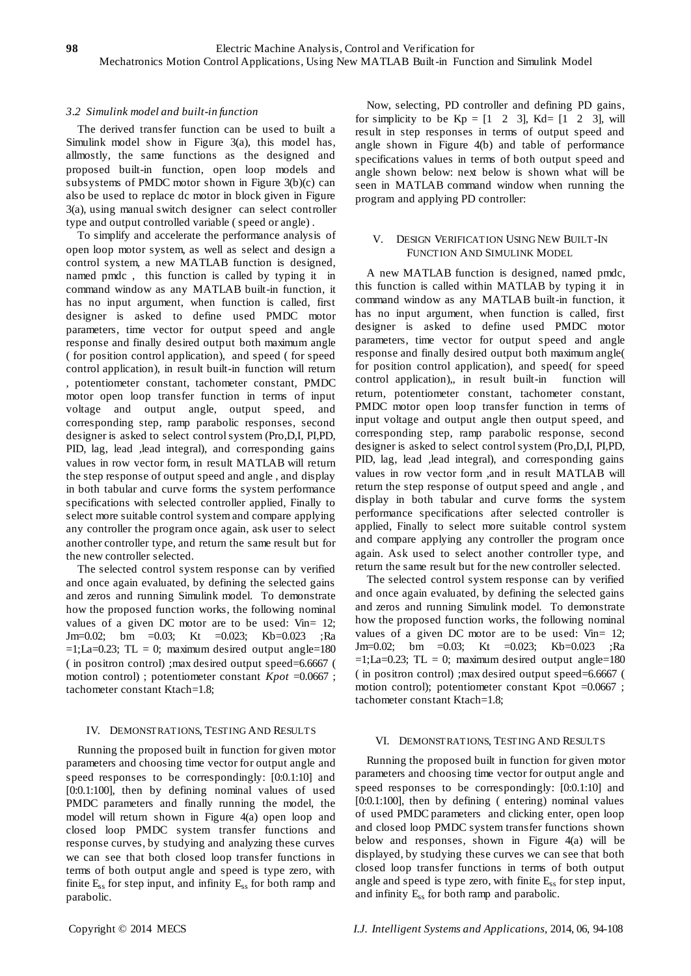# *3.2 Simulink model and built-in function*

The derived transfer function can be used to built a Simulink model show in Figure 3(a), this model has, allmostly, the same functions as the designed and proposed built-in function, open loop models and subsystems of PMDC motor shown in Figure 3(b)(c) can also be used to replace dc motor in block given in Figure 3(a), using manual switch designer can select controller type and output controlled variable ( speed or angle) .

To simplify and accelerate the performance analysis of open loop motor system, as well as select and design a control system, a new MATLAB function is designed, named pmdc , this function is called by typing it in command window as any MATLAB built-in function, it has no input argument, when function is called, first designer is asked to define used PMDC motor parameters, time vector for output speed and angle response and finally desired output both maximum angle ( for position control application), and speed ( for speed control application), in result built-in function will return , potentiometer constant, tachometer constant, PMDC motor open loop transfer function in terms of input voltage and output angle, output speed, and corresponding step, ramp parabolic responses, second designer is asked to select control system (Pro,D,I, PI,PD, PID, lag, lead , lead integral), and corresponding gains values in row vector form, in result MATLAB will return the step response of output speed and angle , and display in both tabular and curve forms the system performance specifications with selected controller applied, Finally to select more suitable control system and compare applying any controller the program once again, ask user to select another controller type, and return the same result but for the new controller selected.

The selected control system response can by verified and once again evaluated, by defining the selected gains and zeros and running Simulink model. To demonstrate how the proposed function works, the following nominal values of a given DC motor are to be used: Vin= 12; Jm=0.02; bm =0.03; Kt =0.023; Kb=0.023 ;Ra  $=1; La=0.23; TL = 0; maximum desired output angle=180$ ( in positron control) ;max desired output speed=6.6667 ( motion control); potentiometer constant *Kpot* =0.0667; tachometer constant Ktach=1.8;

# IV. DEMONSTRATIONS, TESTING AND RESULTS

Running the proposed built in function for given motor parameters and choosing time vector for output angle and speed responses to be correspondingly: [0:0.1:10] and [0:0.1:100], then by defining nominal values of used PMDC parameters and finally running the model, the model will return shown in Figure 4(a) open loop and closed loop PMDC system transfer functions and response curves, by studying and analyzing these curves we can see that both closed loop transfer functions in terms of both output angle and speed is type zero, with finite  $E_{ss}$  for step input, and infinity  $E_{ss}$  for both ramp and parabolic.

Now, selecting, PD controller and defining PD gains, for simplicity to be  $Kp = [1 \ 2 \ 3]$ ,  $Kd = [1 \ 2 \ 3]$ , will result in step responses in terms of output speed and angle shown in Figure 4(b) and table of performance specifications values in terms of both output speed and angle shown below: next below is shown what will be seen in MATLAB command window when running the program and applying PD controller:

# V. DESIGN VERIFICATION USING NEW BUILT-IN FUNCTION AND SIMULINK MODEL

A new MATLAB function is designed, named pmdc, this function is called within MATLAB by typing it in command window as any MATLAB built-in function, it has no input argument, when function is called, first designer is asked to define used PMDC motor parameters, time vector for output speed and angle response and finally desired output both maximum angle( for position control application), and speed( for speed control application),, in result built-in function will return, potentiometer constant, tachometer constant, PMDC motor open loop transfer function in terms of input voltage and output angle then output speed, and corresponding step, ramp parabolic response, second designer is asked to select control system (Pro,D,I, PI,PD, PID, lag, lead , lead integral), and corresponding gains values in row vector form ,and in result MATLAB will return the step response of output speed and angle , and display in both tabular and curve forms the system performance specifications after selected controller is applied, Finally to select more suitable control system and compare applying any controller the program once again. Ask used to select another controller type, and return the same result but for the new controller selected.

The selected control system response can by verified and once again evaluated, by defining the selected gains and zeros and running Simulink model. To demonstrate how the proposed function works, the following nominal values of a given DC motor are to be used: Vin= 12; Jm=0.02; bm =0.03; Kt =0.023; Kb=0.023 ;Ra  $=1; La=0.23; TL = 0; maximum desired output angle=180$ ( in positron control) ;max desired output speed=6.6667 ( motion control); potentiometer constant Kpot =0.0667 ; tachometer constant Ktach=1.8;

# VI. DEMONSTRATIONS, TESTING AND RESULTS

Running the proposed built in function for given motor parameters and choosing time vector for output angle and speed responses to be correspondingly: [0:0.1:10] and [0:0.1:100], then by defining ( entering) nominal values of used PMDC parameters and clicking enter, open loop and closed loop PMDC system transfer functions shown below and responses, shown in Figure 4(a) will be displayed, by studying these curves we can see that both closed loop transfer functions in terms of both output angle and speed is type zero, with finite  $E_{ss}$  for step input, and infinity  $E_{ss}$  for both ramp and parabolic.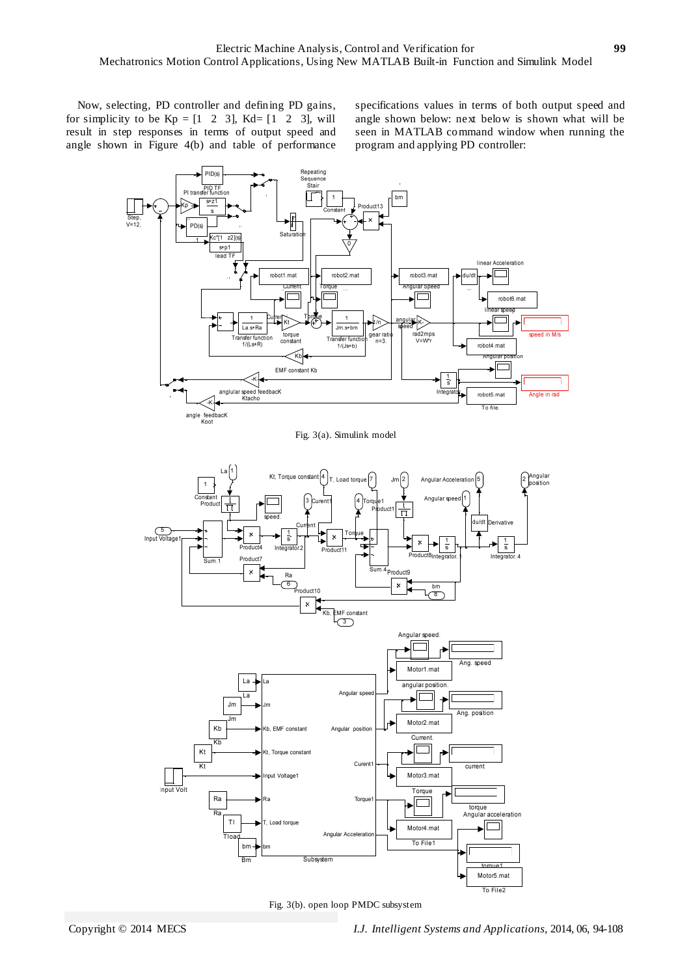Now, selecting, PD controller and defining PD gains, for simplicity to be  $Kp = \begin{bmatrix} 1 & 2 & 3 \end{bmatrix}$ ,  $Kd = \begin{bmatrix} 1 & 2 & 3 \end{bmatrix}$ , will result in step responses in terms of output speed and angle shown in Figure 4(b) and table of performance specifications values in terms of both output speed and angle shown below: next below is shown what will be seen in MATLAB command window when running the program and applying PD controller:



Fig. 3(a). Simulink model



Fig. 3(b). open loop PMDC subsystem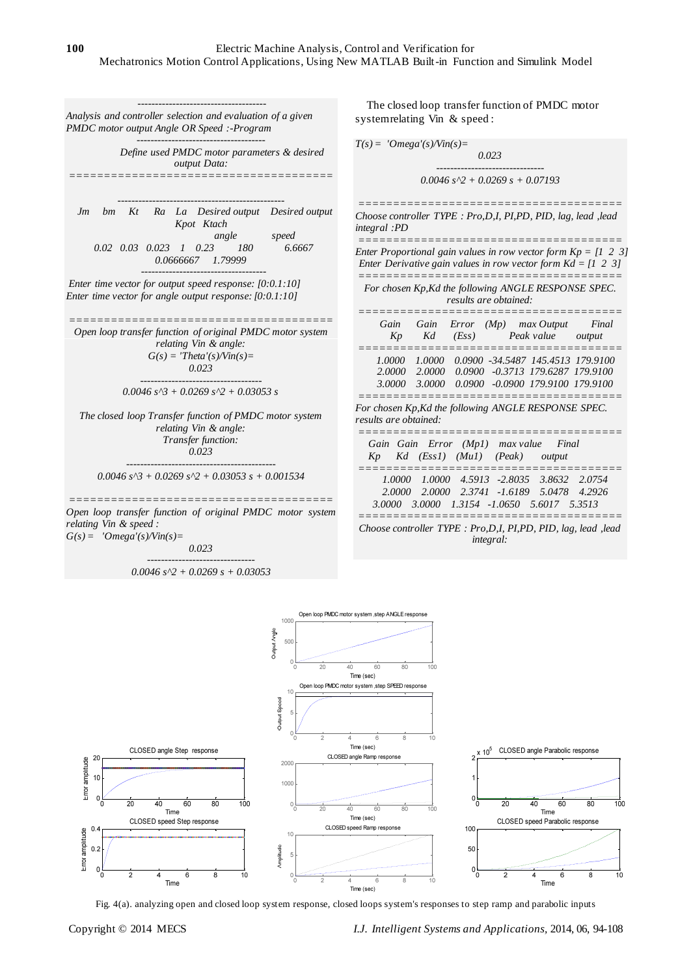*Analysis and controller selection and evaluation of a given PMDC motor output Angle OR Speed :-Program*

 *Define used PMDC motor parameters & desired output Data: ======================================*

*-------------------------------------*

*-------------------------------------*

*------------------------------------------------ Jm bm Kt Ra La Desired output Desired output Kpot Ktach angle speed 0.02 0.03 0.023 1* 0.23 *0.0666667 1.79999 ------------------------------------*

*Enter time vector for output speed response: [0:0.1:10] Enter time vector for angle output response: [0:0.1:10]*

*====================================== Open loop transfer function of original PMDC motor system relating Vin & angle:*  $G(s) = 'Theta'(s)/\text{Vir}(s)$ *0.023 -----------------------------------*

## *0.0046 s^3 + 0.0269 s^2 + 0.03053 s*

*The closed loop Transfer function of PMDC motor system relating Vin & angle: Transfer function: 0.023 -------------------------------------------*

*0.0046 s^3 + 0.0269 s^2 + 0.03053 s + 0.001534*

*====================================== Open loop transfer function of original PMDC motor system relating Vin & speed : G(s) = 'Omega'(s)/Vin(s)=*

*0.023 -------------------------------*

$$
0.0046\;s^{\wedge}2 + 0.0269\;s + 0.03053
$$

The closed loop transfer function of PMDC motor system relating Vin & speed :

$$
T(s) = 'Omega'(s)/\text{Vin}(s) =
$$
  
\n
$$
0.023
$$
  
\n
$$
0.0046 \, s^{6}\text{2} + 0.0269 \, s + 0.07193
$$
  
\n
$$
=
$$
  
\n
$$
=
$$
  
\n
$$
=
$$
  
\n
$$
=
$$
  
\n
$$
=
$$
  
\n
$$
=
$$
  
\n
$$
=
$$
  
\n
$$
=
$$
  
\n
$$
=
$$
  
\n
$$
=
$$
  
\n
$$
=
$$
  
\n
$$
=
$$
  
\n
$$
=
$$
  
\n
$$
=
$$
  
\n
$$
=
$$
  
\n
$$
=
$$
  
\n
$$
=
$$
  
\n
$$
=
$$
  
\n
$$
=
$$
  
\n
$$
=
$$
  
\n
$$
=
$$
  
\n
$$
=
$$
  
\n
$$
=
$$
  
\n
$$
=
$$
  
\n
$$
=
$$
  
\n
$$
=
$$
  
\n
$$
=
$$
  
\n
$$
=
$$
  
\n
$$
=
$$
  
\n
$$
=
$$
  
\n
$$
=
$$
  
\n
$$
=
$$
  
\n
$$
=
$$
  
\n
$$
=
$$
  
\n
$$
=
$$
  
\n
$$
=
$$
  
\n
$$
=
$$
  
\n
$$
=
$$
  
\n
$$
=
$$
  
\n
$$
=
$$
  
\n
$$
=
$$
  
\n
$$
=
$$
  
\n
$$
=
$$
  
\n
$$
=
$$
  
\n
$$
=
$$
  
\n
$$
=
$$
  
\n
$$
=
$$
  
\n
$$
=
$$
  
\n
$$
=
$$
  
\n
$$
=
$$
  
\n
$$
=
$$
  
\n
$$
=
$$

*Choose controller TYPE : Pro,D,I, PI,PD, PID, lag, lead ,lead integral :PD*

*====================================== Enter Proportional gain values in row vector form Kp = [1 2 3] Enter Derivative gain values in row vector form Kd = [1 2 3] ====================================== For chosen Kp,Kd the following ANGLE RESPONSE SPEC. results are obtained: ====================================== Gain Gain Error (Mp) max Output Final Kp Kd (Ess) Peak value output ====================================== 1.0000 1.0000 0.0900 -34.5487 145.4513 179.9100 2.0000 2.0000 0.0900 -0.3713 179.6287 179.9100 3.0000 3.0000 0.0900 -0.0900 179.9100 179.9100 ====================================== For chosen Kp,Kd the following ANGLE RESPONSE SPEC. results are obtained: ====================================== Gain Gain Error (Mp1) max value Final Kp Kd (Ess1) (Mu1) (Peak) output ====================================== 1.0000 1.0000 4.5913 -2.8035 3.8632 2.0754 2.0000 2.0000 2.3741 -1.6189 5.0478 4.2926 3.0000 3.0000 1.3154 -1.0650 5.6017 5.3513*

*====================================== Choose controller TYPE : Pro,D,I, PI,PD, PID, lag, lead ,lead integral:*



Fig. 4(a). analyzing open and closed loop system response, closed loops system's responses to step ramp and parabolic inputs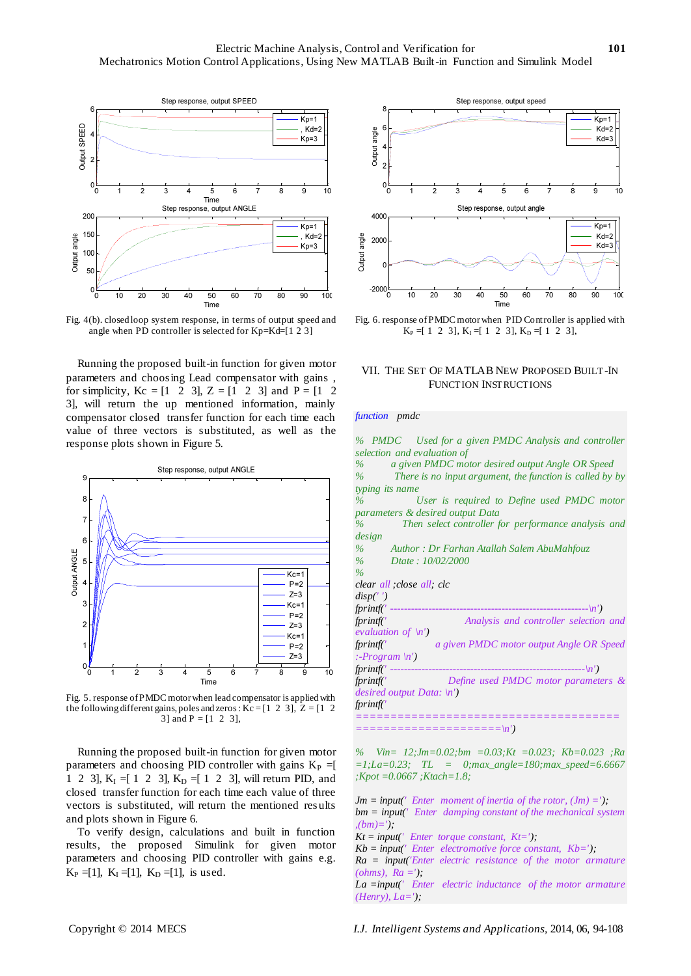

Fig. 4(b). closed loop system response, in terms of output speed and angle when PD controller is selected for Kp=Kd=[1 2 3]

Running the proposed built-in function for given motor parameters and choosing Lead compensator with gains , for simplicity,  $Kc = [1 \ 2 \ 3], Z = [1 \ 2 \ 3]$  and  $P = [1 \ 2 \ 2]$ 3], will return the up mentioned information, mainly compensator closed transfer function for each time each value of three vectors is substituted, as well as the response plots shown in Figure 5.



Fig. 5. response of PMDC motor when lead compensator is applied with the following different gains, poles and zeros :  $Kc = [1 \ 2 \ 3], Z = [1 \ 2$ 3] and  $P = [1 \ 2 \ 3]$ ,

Running the proposed built-in function for given motor parameters and choosing PID controller with gains  $K_P =$ [ 1 2 3],  $K_I = [ 1 2 3]$ ,  $K_D = [ 1 2 3]$ , will return PID, and closed transfer function for each time each value of three vectors is substituted, will return the mentioned res ults and plots shown in Figure 6.

To verify design, calculations and built in function results, the proposed Simulink for given motor parameters and choosing PID controller with gains e.g.  $K_P = [1], K_I = [1], K_D = [1],$  is used.



Fig. 6. response of PMDC motor when PID Controller is applied with  $K_P = [ 1 2 3], K_I = [ 1 2 3], K_D = [ 1 2 3],$ 

# VII. THE SET OF MATLAB NEW PROPOSED BUILT-IN FUNCTION INSTRUCTIONS

#### *function pmdc*

|      | % PMDC Used for a given PMDC Analysis and controller              |
|------|-------------------------------------------------------------------|
|      | selection and evaluation of                                       |
|      | a given PMDC motor desired output Angle OR Speed<br>$\%$ and $\%$ |
| $\%$ | There is no input argument, the function is called by by          |
|      | typing its name                                                   |
| $\%$ | User is required to Define used PMDC motor                        |
|      | parameters & desired output Data                                  |
| $\%$ | Then select controller for performance analysis and               |
|      | design                                                            |
| $\%$ | Author: Dr Farhan Atallah Salem AbuMahfouz                        |
|      | % Dtate: $10/02/2000$                                             |
| $\%$ |                                                                   |
|      | clear all; close all; clc                                         |
|      | disp('')                                                          |
|      |                                                                   |
|      | fprintf('<br>Analysis and controller selection and                |
|      | <i>evaluation of</i> $\langle n' \rangle$                         |
|      | fprintf('<br>a given PMDC motor output Angle OR Speed             |
|      | :-Program $\langle n' \rangle$                                    |
|      |                                                                   |
|      | fprintf(' Define used PMDC motor parameters &                     |
|      | desired output Data: $\langle n' \rangle$                         |
|      | fprintf('                                                         |
|      |                                                                   |
|      | $=$ ======================== $\langle n' \rangle$                 |
|      |                                                                   |
|      |                                                                   |

*% Vin= 12;Jm=0.02;bm =0.03;Kt =0.023; Kb=0.023 ;Ra =1;La=0.23; TL = 0;max\_angle=180;max\_speed=6.6667 ;Kpot =0.0667 ;Ktach=1.8;*

- $Jm = input('Enter moment of inertia of the rotor, (Jm) ='),$ *bm = input(' Enter damping constant of the mechanical system ,(bm)=');*
- *Kt = input(' Enter torque constant, Kt=');*
- $Kb = input('Enter electronic force constant,  $kb = ');$$
- *Ra = input('Enter electric resistance of the motor armature (ohms), Ra =');*

*La =input(' Enter electric inductance of the motor armature (Henry), La=');*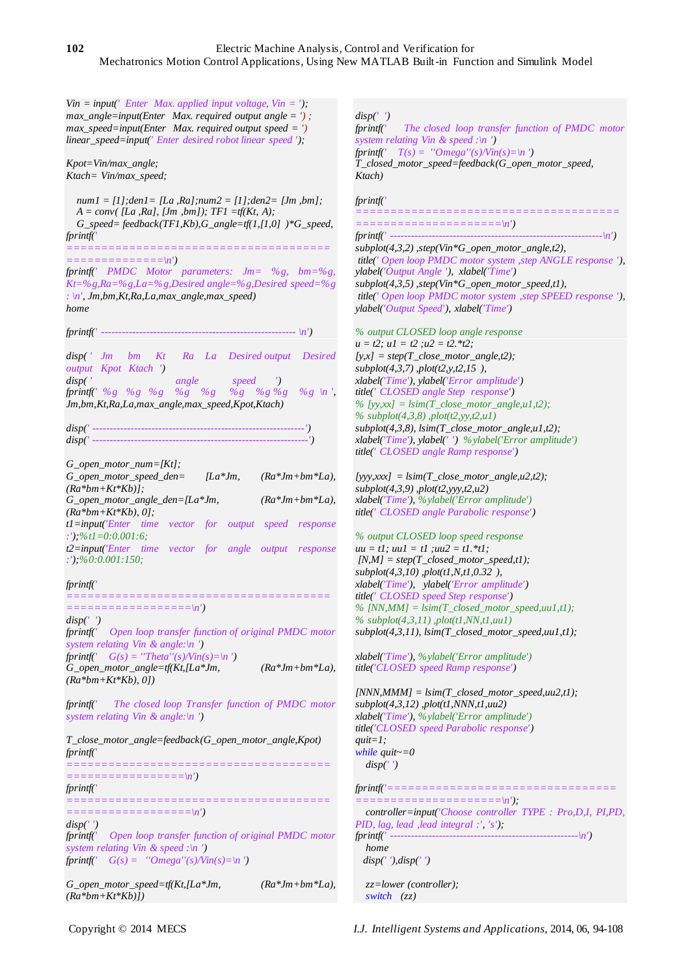# **102** Electric Machine Analysis, Control and Verification for Mechatronics Motion Control Applications, Using New MATLAB Built-in Function and Simulink Model

*Vin = input(' Enter Max. applied input voltage, Vin = '); max\_angle=input(Enter Max. required output angle = ') ; max\_speed=input(Enter Max. required output speed = ') linear\_speed=input(' Enter desired robot linear speed ');*

*Kpot=Vin/max\_angle; Ktach= Vin/max\_speed;*

 *num1 = [1];den1= [La ,Ra];num2 = [1];den2= [Jm ,bm];*  $A = conv([La, Ra], [Jm, bm]); TFI = tf(Kt, A);$  *G\_speed= feedback(TF1,Kb),G\_angle=tf(1,[1,0] )\*G\_speed, fprintf('* 

*======================================*  $==-\infty$ ')

*fprintf(' PMDC Motor parameters: Jm= %g, bm=%g, Kt=%g,Ra=%g,La=%g,Desired angle=%g,Desired speed=%g : \n', Jm,bm,Kt,Ra,La,max\_angle,max\_speed) home*

*fprintf(' -------------------------------------------------------- \n')*

*disp( ' Jm bm Kt Ra La Desired output Desired output Kpot Ktach ') disp( ' angle speed ') fprintf(' %g %g %g %g %g %g %g %g %g \n ', Jm,bm,Kt,Ra,La,max\_angle,max\_speed,Kpot,Ktach)*

*disp(' -------------------------------------------------------------')*

*disp(' --------------------------------------------------------------')*

| G open motor num= $Kt$ ;                                   |  |  |            |  |  |                   |  |  |  |  |
|------------------------------------------------------------|--|--|------------|--|--|-------------------|--|--|--|--|
| $G$ open motor speed den=                                  |  |  | $[La^*Jm,$ |  |  | $(Ra*Jm+bm*La)$ , |  |  |  |  |
| $(Ra *bm+Kt * Kb)$ :                                       |  |  |            |  |  |                   |  |  |  |  |
| G open motor angle $den=[La*Jm,$                           |  |  |            |  |  | $(Ra*Jm+bm*La),$  |  |  |  |  |
| $(Ra *bm+Kt*Kb), 0$ :                                      |  |  |            |  |  |                   |  |  |  |  |
| $t$ = input('Enter time vector for output speed response   |  |  |            |  |  |                   |  |  |  |  |
| :');%tl=0:0.001:6;                                         |  |  |            |  |  |                   |  |  |  |  |
| $t2 = input('Enter time vector for angle output response)$ |  |  |            |  |  |                   |  |  |  |  |
| $:$ '); %0:0.001:150;                                      |  |  |            |  |  |                   |  |  |  |  |
|                                                            |  |  |            |  |  |                   |  |  |  |  |

## *fprintf('*

*====================================== ==================\n') disp(' ') fprintf(' Open loop transfer function of original PMDC motor system relating Vin & angle:\n ') fprintf*('  $G(s) = "Theta''(s)/\text{V}in(s)=\{n'\}$ *G\_open\_motor\_angle=tf(Kt,[La\*Jm, (Ra\*Jm+bm\*La), (Ra\*bm+Kt\*Kb), 0])*

*fprintf(' The closed loop Transfer function of PMDC motor system relating Vin & angle:\n ')*

*T\_close\_motor\_angle=feedback(G\_open\_motor\_angle,Kpot) fprintf('* 

*====================================== =================\n')*

*fprintf(' ======================================*

*==================\n')*

*disp(' ') fprintf(' Open loop transfer function of original PMDC motor system relating Vin & speed :\n ') fprintf('*  $G(s) =$  "*Omega*"(s)/Vin(s)=\n')

*G\_open\_motor\_speed=tf(Kt,[La\*Jm, (Ra\*Jm+bm\*La), (Ra\*bm+Kt\*Kb)])*

*disp(' ') The closed loop transfer function of PMDC motor system relating Vin & speed :\n ') fprintf('*  $T(s) =$  "*Omega*"(s)/Vin(s)=\n') *T\_closed\_motor\_speed=feedback(G\_open\_motor\_speed, Ktach)*

## *fprintf('*

*====================================== =====================\n')*

*fprintf(' -------------------------------------------------------------\n')*

*subplot(4,3,2) ,step(Vin\*G\_open\_motor\_angle,t2), title(' Open loop PMDC motor system ,step ANGLE response '), ylabel('Output Angle '), xlabel('Time') subplot(4,3,5) ,step(Vin\*G\_open\_motor\_speed,t1), title(' Open loop PMDC motor system ,step SPEED response '), ylabel('Output Speed'), xlabel('Time')*

*% output CLOSED loop angle response*  $u = t2$ ;  $u1 = t2$ ;  $u2 = t2$ . \* $t2$ ;  $[y,x] = step(T\_close\_motor\_angle,t2);$ *subplot(4,3,7) ,plot(t2,y,t2,15 ), xlabel('Time'), ylabel('Error amplitude') title(' CLOSED angle Step response') % [yy,xx] = lsim(T\_close\_motor\_angle,u1,t2); % subplot(4,3,8) ,plot(t2,yy,t2,u1) subplot(4,3,8), lsim(T\_close\_motor\_angle,u1,t2); xlabel('Time'), ylabel(' ') %ylabel('Error amplitude') title(' CLOSED angle Ramp response')*

*[yyy,xxx] = lsim(T\_close\_motor\_angle,u2,t2); subplot(4,3,9) ,plot(t2,yyy,t2,u2) xlabel('Time'), %ylabel('Error amplitude') title(' CLOSED angle Parabolic response')*

*% output CLOSED loop speed response uu = t1; uu1 = t1 ;uu2 = t1.\*t1; [N,M] = step(T\_closed\_motor\_speed,t1); subplot(4,3,10) ,plot(t1,N,t1,0.32 ), xlabel('Time'), ylabel('Error amplitude') title(' CLOSED speed Step response') % [NN,MM] = lsim(T\_closed\_motor\_speed,uu1,t1); % subplot(4,3,11) ,plot(t1,NN,t1,uu1) subplot(4,3,11), lsim(T\_closed\_motor\_speed,uu1,t1);*

*xlabel('Time'), %ylabel('Error amplitude') title('CLOSED speed Ramp response')*

*[NNN,MMM] = lsim(T\_closed\_motor\_speed,uu2,t1); subplot(4,3,12) ,plot(t1,NNN,t1,uu2) xlabel('Time'), %ylabel('Error amplitude') title('CLOSED speed Parabolic response') quit=1; while quit~=0 disp(' ') fprintf('================================= =====================\n');*

 *controller=input('Choose controller TYPE : Pro,D,I, PI,PD, PID, lag, lead ,lead integral :', 's'); fprintf(' ------------------------------------------------------\n') home disp(' '),disp(' ')*

 *zz=lower (controller); switch (zz)*

Copyright © 2014 MECS *I.J. Intelligent Systems and Applications,* 2014, 06, 94-108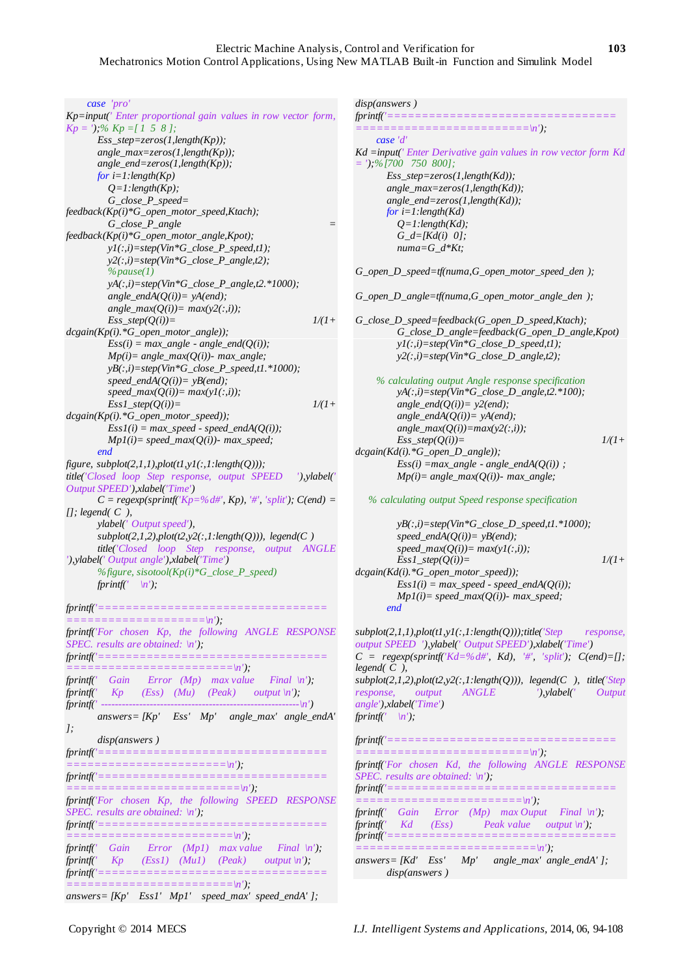# Electric Machine Analysis, Control and Verification for **103** Mechatronics Motion Control Applications, Using New MATLAB Built-in Function and Simulink Model

# *case 'pro'*

*Kp=input(' Enter proportional gain values in row vector form, Kp = ');% Kp =[ 1 5 8 ]; Ess\_step=zeros(1,length(Kp)); angle\_max=zeros(1,length(Kp)); angle\_end=zeros(1,length(Kp)); for i=1:length(Kp) Q=1:length(Kp); G\_close\_P\_speed= feedback(Kp(i)\*G\_open\_motor\_speed,Ktach); G\_close\_P\_angle = feedback(Kp(i)\*G\_open\_motor\_angle,Kpot); y1(:,i)=step(Vin\*G\_close\_P\_speed,t1); y2(:,i)=step(Vin\*G\_close\_P\_angle,t2); %pause(1) yA(:,i)=step(Vin\*G\_close\_P\_angle,t2.\*1000); angle\_endA(* $O(i)$ *)= yA(end);*  $angle\_max(Q(i))=max(y2(:,i));$  $Ess\_step(Q(i))=$   $1/(1+$ *dcgain(Kp(i).\*G\_open\_motor\_angle));*  $Ess(i) = max\_angle - angle\_end(Q(i));$  *Mp(i)= angle\_max(Q(i))- max\_angle; yB(:,i)=step(Vin\*G\_close\_P\_speed,t1.\*1000); speed\_endA(Q(i))= yB(end);*  $speed\_max(Q(i))=max(yI(:,i));$  $Ess1\_step(Q(i))=$   $1/(1+$ *dcgain(Kp(i).\*G\_open\_motor\_speed));*  $Ess1(i) = max\_speed - speed\_endA(Q(i));$  *Mp1(i)= speed\_max(Q(i))- max\_speed; end figure, subplot(2,1,1),plot(t1,y1(:,1:length(Q))); title('Closed loop Step response, output SPEED '),ylabel(' Output SPEED'),xlabel('Time')*  $C = regexp(sprintf('Kp=%d#', Kp), '#', 'split')$ ;  $C(end)$  = *[]; legend( C ), ylabel(' Output speed'), subplot(2,1,2),plot(t2,y2(:,1:length(Q))), legend(C ) title('Closed loop Step response, output ANGLE '),ylabel(' Output angle'),xlabel('Time') %figure, sisotool(Kp(i)\*G\_close\_P\_speed) fprintf*( $\langle n' \rangle$ ; *fprintf('================================= ====================\n'); fprintf('For chosen Kp, the following ANGLE RESPONSE SPEC. results are obtained: \n'); fprintf('================================= ========================\n'); fprintf(' Gain Error (Mp) max value Final \n'); fprintf(' Kp (Ess) (Mu) (Peak) output \n'); fprintf(' ---------------------------------------------------------\n') answers= [Kp' Ess' Mp' angle\_max' angle\_endA' ]; disp(answers ) fprintf('================================= =======================\n'); fprintf('================================= =========================\n'); fprintf('For chosen Kp, the following SPEED RESPONSE SPEC. results are obtained: \n'); fprintf('================================= ========================\n');*

*fprintf(' Gain Error (Mp1) max value Final \n'); fprintf(' Kp (Ess1) (Mu1) (Peak) output \n'); fprintf('=================================*

*========================\n'); answers= [Kp' Ess1' Mp1' speed\_max' speed\_endA' ];*

## *disp(answers )*

| <i>fprintf('===================================</i> =                                                             |
|-------------------------------------------------------------------------------------------------------------------|
| case 'd'                                                                                                          |
|                                                                                                                   |
| $Kd = input('Enter Derivative gain values in row vector form Kd$<br>$=$ '): %[700 750 800]:                       |
| $Ess \ step = zeros(1.length(Kd))$ ;                                                                              |
| angle_max=zeros(1,length(Kd));                                                                                    |
|                                                                                                                   |
| $angle\_end = zeros(1, length(Kd))$ ;<br>for $i=1$ : length(Kd)                                                   |
| $Q=1$ : length(Kd);                                                                                               |
| $G_d = [Kd(i) 0];$                                                                                                |
| $numa = G \, d*Kt$                                                                                                |
|                                                                                                                   |
| G_open_D_speed=tf(numa, G_open_motor_speed_den );                                                                 |
| G_open_D_angle=tf(numa, G_open_motor_angle_den );                                                                 |
| $G_{\mathcal{L}}$ close $D_{\mathcal{L}}$ speed=feedback( $G_{\mathcal{L}}$ open $D_{\mathcal{L}}$ speed, Ktach); |
| $G_{\mathcal{L}}$ close $D_{\mathcal{L}}$ angle=feedback( $G_{\mathcal{L}}$ open $D_{\mathcal{L}}$ angle, Kpot)   |
| $vI(:,i)=step(Vin*G\_close\_D\_speed,tl);$                                                                        |
| $v2(:,i)=step(Vin*G\_close\_D\_angle,t2);$                                                                        |
|                                                                                                                   |
| % calculating output Angle response specification                                                                 |
| $yA(:,i)=step(Vin*G\_close\_D\_angle,t2.*100);$                                                                   |
| angle_end( $Q(i)$ )= $y2$ (end);                                                                                  |
| angle_endA( $Q(i)$ )= yA(end);                                                                                    |
| $angle_max(Q(i)) = max(y2(:,i));$                                                                                 |
| $1/(1+$<br>$Ess\_step(O(i))=$                                                                                     |
| $dcgain(Kd(i).*G\_open\_D\_angle));$                                                                              |
| $Ess(i) = max\_angle - angle\_endA(Q(i))$ ;                                                                       |

 *% calculating output Speed response specification*

 *Mp(i)= angle\_max(Q(i))- max\_angle;*

 *yB(:,i)=step(Vin\*G\_close\_D\_speed,t1.\*1000);*  $speed\_endA(Q(i))= yB(end);$  $speed\_max(Q(i))=max(yI(:,i));$  $Ess1\_step(Q(i))=$   $1/(1+$ *dcgain(Kd(i).\*G\_open\_motor\_speed));*  $Ess1(i) = max\_speed - speed\_endA(Q(i));$  $Mpl(i) = speed\_max(Q(i))$ - *max\_speed*;  *end*

*subplot(2,1,1),plot(t1,y1(:,1:length(Q)));title('Step response, output SPEED '),ylabel(' Output SPEED'),xlabel('Time')*  $C = regexp(sprintf'Kd=%d#', Kd),$  '#', 'split');  $C(end)=[];$ *legend( C ), subplot(2,1,2),plot(t2,y2(:,1:length(Q))), legend(C ), title('Step response, output ANGLE '),ylabel(' Output angle'),xlabel('Time') fprintf(' \n'); fprintf('================================= =========================\n'); fprintf('For chosen Kd, the following ANGLE RESPONSE* 

*SPEC. results are obtained: \n'); fprintf('================================= ========================\n'); fprintf(' Gain Error (Mp) max Ouput Final \n'); fprintf(' Kd (Ess) Peak value output \n');*

*fprintf('================================= ==========================\n');*

*answers= [Kd' Ess' Mp' angle\_max' angle\_endA' ]; disp(answers )*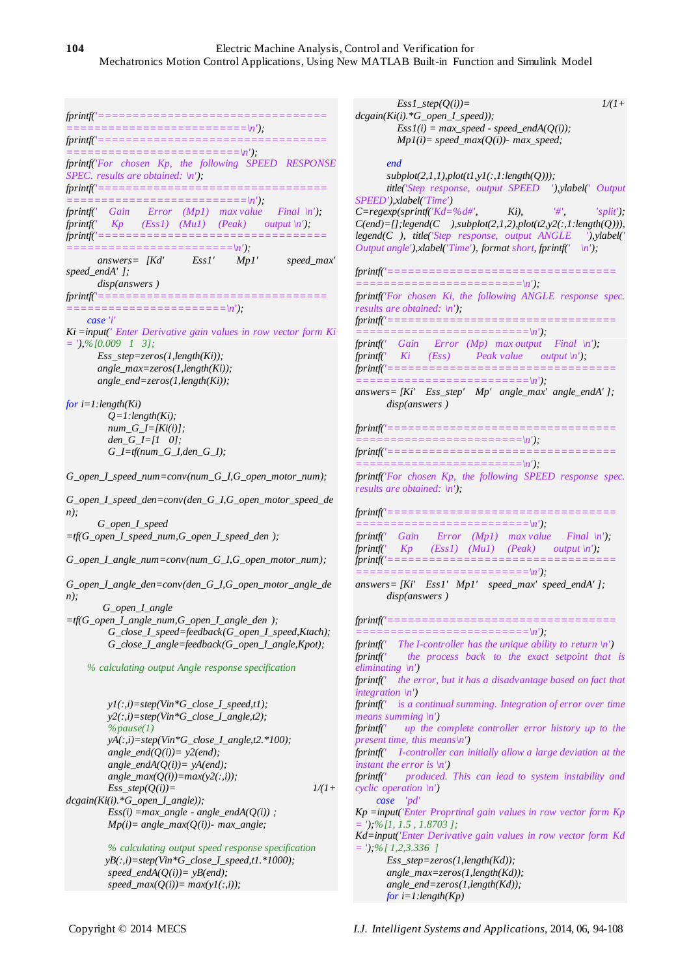$fprintf('==$ *==========================\n'); fprintf('================================= =========================\n'); fprintf('For chosen Kp, the following SPEED RESPONSE SPEC. results are obtained: \n'); fprintf('================================= ==========================\n'); fprintf(' Gain Error (Mp1) max value Final \n'); fprintf(' Kp (Ess1) (Mu1) (Peak) output \n'); fprintf('================================= ========================\n'); answers=* [Kd' Ess1' Mp1' speed\_max' *endA'* ]; *speed\_endA' ]; disp(answers ) fprintf('================================= =======================\n'); case 'i' Ki =input(' Enter Derivative gain values in row vector form Ki = '),%[0.009 1 3]; Ess\_step=zeros(1,length(Ki)); angle\_max=zeros(1,length(Ki)); angle\_end=zeros(1,length(Ki)); for i=1:length(Ki) Q=1:length(Ki); num\_G\_I=[Ki(i)]; den\_G\_I=[1 0]; G\_I=tf(num\_G\_I,den\_G\_I); G\_open\_I\_speed\_num=conv(num\_G\_I,G\_open\_motor\_num); G\_open\_I\_speed\_den=conv(den\_G\_I,G\_open\_motor\_speed\_de n); G\_open\_I\_speed =tf(G\_open\_I\_speed\_num,G\_open\_I\_speed\_den ); G\_open\_I\_angle\_num=conv(num\_G\_I,G\_open\_motor\_num); G\_open\_I\_angle\_den=conv(den\_G\_I,G\_open\_motor\_angle\_de n); G\_open\_I\_angle =tf(G\_open\_I\_angle\_num,G\_open\_I\_angle\_den ); G\_close\_I\_speed=feedback(G\_open\_I\_speed,Ktach); G\_close\_I\_angle=feedback(G\_open\_I\_angle,Kpot); % calculating output Angle response specification y1(:,i)=step(Vin\*G\_close\_I\_speed,t1); y2(:,i)=step(Vin\*G\_close\_I\_angle,t2); %pause(1) yA(:,i)=step(Vin\*G\_close\_I\_angle,t2.\*100); angle\_end*( $Q(i)$ )=  $y2(end)$ ;  *angle\_endA(Q(i))= yA(end);*  $angle\_max(Q(i))=max(y2(:,i));$  $Ess\_step(Q(i))=$   $1/(1+$ *dcgain(Ki(i).\*G\_open\_I\_angle));*  $Ess(i) =max\_angle - angle\_endA(Q(i))$ ;  *Mp(i)= angle\_max(Q(i))- max\_angle; % calculating output speed response specification yB(:,i)=step(Vin\*G\_close\_I\_speed,t1.\*1000); speed\_endA(Q(i))= yB(end);*  $speed\_max(Q(i))=max(yI(:,i));$  $Ess1\_step(Q(i))=$   $1/(1+$ *dcgain(Ki(i).\*G\_open\_I\_speed));*  $Ess1(i) = max\_speed - speed\_endA(Q(i));$  *Mp1(i)= speed\_max(Q(i))- max\_speed; end subplot(2,1,1),plot(t1,y1(:,1:length(Q))); title('Step response, output SPEED '),ylabel(' Output SPEED'),xlabel('Time')*  $C = \text{regexp}(\text{springi'}\text{Kd} = \% \text{d} \#', \qquad \text{Ki}), \qquad \text{``#''}, \qquad \text{``split''},$ *C(end)=[];legend(C ),subplot(2,1,2),plot(t2,y2(:,1:length(Q))), legend(C ), title('Step response, output ANGLE '),ylabel(' Output angle'),xlabel('Time'), format short, fprintf(' \n'); fprintf('================================= ========================\n'); fprintf('For chosen Ki, the following ANGLE response spec. results are obtained: \n'); fprintf('================================= =========================\n'); fprintf(' Gain Error (Mp) max output Final \n'); fprintf(' Ki (Ess) Peak value output \n'); fprintf('================================= =========================\n'); answers= [Ki' Ess\_step' Mp' angle\_max' angle\_endA' ]; disp(answers )*  $fprintf('========$ *========================\n'); fprintf('================================= ========================\n'); fprintf('For chosen Kp, the following SPEED response spec. results are obtained: \n');*  $fprintf'==$ *=========================\n'); fprintf(' Gain Error (Mp1) max value Final \n'); fprintf(' Kp (Ess1) (Mu1) (Peak) output \n'); fprintf('================================= =========================\n'); answers= [Ki' Ess1' Mp1' speed\_max' speed\_endA' ]; disp(answers ) fprintf('================================= =========================\n'); fprintf(' The I-controller has the unique ability to return \n') fprintf(' the process back to the exact setpoint that is eliminating \n') fprintf(' the error, but it has a disadvantage based on fact that integration \n') fprintf(' is a continual summing. Integration of error over time means summing \n') fprintf(' up the complete controller error history up to the present time, this means\n') fprintf(' I-controller can initially allow a large deviation at the instant the error is \n') fprintf(' produced. This can lead to system instability and cyclic operation \n') case 'pd' Kp =input('Enter Proprtinal gain values in row vector form Kp = ');%[1, 1.5 , 1.8703 ]; Kd=input('Enter Derivative gain values in row vector form Kd = ');%[ 1,2,3.336 ] Ess\_step=zeros(1,length(Kd)); angle\_max=zeros(1,length(Kd)); angle\_end=zeros(1,length(Kd)); for i=1:length(Kp)*

Copyright © 2014 MECS *I.J. Intelligent Systems and Applications,* 2014, 06, 94-108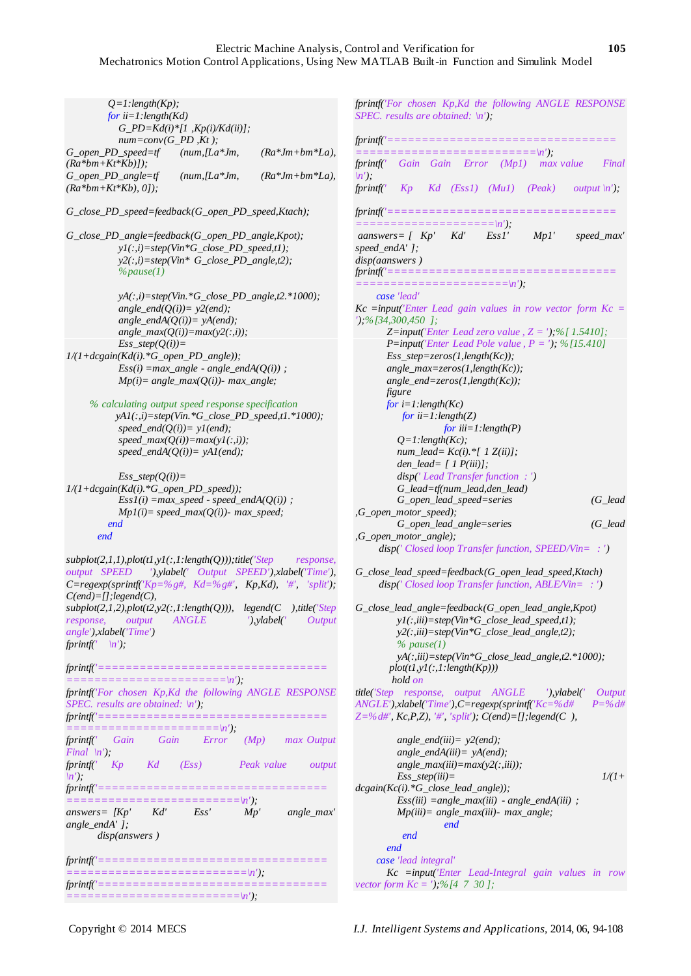| $Q=1$ : length(Kp);<br>for $ii=1$ : length(Kd)                                                                                           | $G_PD = Kd(i)*[1, Kp(i)/Kd(ii)];$                                                           |                     |
|------------------------------------------------------------------------------------------------------------------------------------------|---------------------------------------------------------------------------------------------|---------------------|
| G_open_PD_speed=tf                                                                                                                       | $num = conv(G_PD, Kt);$<br>$(num, [La^*Jm,$                                                 | $(Ra*Jm+bm*La)$ ,   |
| $(Ra *bm+Kt*Kb))$ ;<br>$G\_open\_PD\_angle=tf$                                                                                           | $(num, [La*Jm,$                                                                             | $(Ra*Jm+bm*La)$ ,   |
| $(Ra *bm+Kt*Kb), 0$ .                                                                                                                    |                                                                                             |                     |
| $G_{\text{close\_}PD_{\text{speed}}=\text{feedback}(G_{\text{open\_}PD_{\text{speed}},\text{Ktach})$ ;                                   |                                                                                             |                     |
| G_close_PD_angle=feedback(G_open_PD_angle,Kpot);                                                                                         |                                                                                             |                     |
|                                                                                                                                          | $yI(:,i)=step(Vin*G\_close\_PD\_speed,tl);$<br>$y2(:,i)=step(Vin* G\_close\_PD\_angle,t2);$ |                     |
| $\%$ <i>pause</i> (1)                                                                                                                    |                                                                                             |                     |
|                                                                                                                                          | $yA(:,i)=step(Vin.*G\_close\_PD\_angle,t2.*1000);$                                          |                     |
|                                                                                                                                          | angle_end( $Q(i)$ )= $y2(end)$ ;                                                            |                     |
|                                                                                                                                          | angle_endA( $Q(i)$ )= yA(end);<br>$angle\_max(Q(i))=max(y2(:,i));$                          |                     |
| $Ess\_step(Q(i))=$                                                                                                                       |                                                                                             |                     |
| $1/(1 + degain(Kd(i). *G\_open\_PD\_angle));$                                                                                            |                                                                                             |                     |
|                                                                                                                                          | $Ess(i) = max\_angle - angle\_endA(Q(i))$ ;                                                 |                     |
|                                                                                                                                          | $Mp(i) = angle\_max(Q(i))$ - max_angle;                                                     |                     |
| % calculating output speed response specification                                                                                        |                                                                                             |                     |
|                                                                                                                                          | $yAI(:,i)=step(Vin.*G\_close\_PD\_speed,t1.*1000);$                                         |                     |
|                                                                                                                                          | speed_end( $Q(i)$ )= $yI(end)$ ;<br>$speed\_max(Q(i))=max(yI(:,i));$                        |                     |
|                                                                                                                                          | $speed\_endA(Q(i))= yAI(end);$                                                              |                     |
| $Ess\_step(Q(i))=$<br>$1/(1+dcgain(Kd(i).*G\_open\_PD\_speed));$                                                                         |                                                                                             |                     |
|                                                                                                                                          | $Ess1(i) = max\_speed - speed\_endA(Q(i))$ ;                                                |                     |
|                                                                                                                                          | $Mpl(i) = speed\_max(Q(i))$ - max_speed;                                                    |                     |
| end                                                                                                                                      |                                                                                             |                     |
| end                                                                                                                                      |                                                                                             |                     |
| $subplot(2,1,1), plot(t1,y1(:,1:length(Q))), title('Step$                                                                                |                                                                                             | response,           |
| output SPEED '), ylabel(' Output SPEED'), xlabel('Time'),                                                                                |                                                                                             |                     |
| $C = \text{regexp}(\text{spring}(Kp = \frac{9}{6}g\#, Kd = \frac{9}{6}g\#', Kp, Kd), \quad \#', 'split'),$<br>$C(end) = []$ ; legend(C), |                                                                                             |                     |
| $subplot(2,1,2), plot(t2,y2(:,1:length(Q))),$ legend(C ),title('Step                                                                     |                                                                                             |                     |
| response, output                                                                                                                         | ANGLE                                                                                       | '), ylabel(' Output |
| angle'), xlabel('Time')                                                                                                                  |                                                                                             |                     |
| fprintf(' $\langle n' \rangle$ ;                                                                                                         |                                                                                             |                     |
| fprintf('===================================                                                                                             |                                                                                             |                     |
| fprintf('For chosen Kp, Kd the following ANGLE RESPONSE                                                                                  |                                                                                             |                     |
| SPEC. results are obtained: $\langle n' \rangle$ ;                                                                                       |                                                                                             |                     |
| fprintf('===================================                                                                                             |                                                                                             |                     |
| fprintf(' Gain Gain Error (Mp) max Output<br><i>Final</i> $\langle n' \rangle$ ;                                                         |                                                                                             |                     |
| fprintf(' Kp Kd (Ess) Peak value output                                                                                                  |                                                                                             |                     |
| $\langle n' \rangle$ ;                                                                                                                   |                                                                                             |                     |
| fprintf('===================================<br>$=$ = $=$ $=$ $=$ $=$                                                                    |                                                                                             |                     |
| answers= $[Kp'$ Kd' Ess'                                                                                                                 |                                                                                             | $Mp'$ angle_max'    |
| angle_endA'];<br>disp(answers)                                                                                                           |                                                                                             |                     |
| fprintf('===================================                                                                                             |                                                                                             |                     |
|                                                                                                                                          |                                                                                             |                     |
| fprintf('===================================                                                                                             |                                                                                             |                     |
|                                                                                                                                          |                                                                                             |                     |

*fprintf('For chosen Kp,Kd the following ANGLE RESPONSE SPEC. results are obtained: \n'); fprintf('================================= ==========================\n'); fprintf(' Gain Gain Error (Mp1) max value Final \n'); fprintf(' Kp Kd (Ess1) (Mu1) (Peak) output \n');*  $fprint('==$ *====================\n'); aanswers= [ Kp' Kd' Ess1' Mp1' speed\_max' speed\_endA' ]; disp(aanswers )*  $fprintf('=========$ *======================\n'); case 'lead' Kc =input('Enter Lead gain values in row vector form Kc = ');%[34,300,450 ]; Z=input('Enter Lead zero value, Z = ');%[ 1.5410]; P=input('Enter Lead Pole value , P = '); %[15.410] Ess\_step=zeros(1,length(Kc)); angle\_max=zeros(1,length(Kc)); angle\_end=zeros(1,length(Kc)); figure for i=1:length(Kc) for ii=1:length(Z) for iii=1:length(P) Q=1:length(Kc); num\_lead= Kc(i).\*[ 1 Z(ii)]; den\_lead= [ 1 P(iii)]; disp(' Lead Transfer function : ') G\_lead=tf(num\_lead,den\_lead) G\_open\_lead\_speed=series (G\_lead ,G\_open\_motor\_speed); G\_open\_lead\_angle=series (G\_lead ,G\_open\_motor\_angle); disp(' Closed loop Transfer function, SPEED/Vin= : ') G\_close\_lead\_speed=feedback(G\_open\_lead\_speed,Ktach) disp(' Closed loop Transfer function, ABLE/Vin= : ') G\_close\_lead\_angle=feedback(G\_open\_lead\_angle,Kpot) y1(:,iii)=step(Vin\*G\_close\_lead\_speed,t1); y2(:,iii)=step(Vin\*G\_close\_lead\_angle,t2); % pause(1) yA(:,iii)=step(Vin\*G\_close\_lead\_angle,t2.\*1000); plot(t1,y1(:,1:length(Kp))) hold on title('Step response, output ANGLE '),ylabel(' Output ANGLE'),xlabel('Time'),C=regexp(sprintf('Kc=%d# P=%d# Z=%d#', Kc,P,Z), '#', 'split'); C(end)=[];legend(C ), angle\_end(iii)= y2(end);*

 *angle\_endA(iii)= yA(end); angle\_max(iii)=max(y2(:,iii)); Ess\_step(iii)= 1/(1+ dcgain(Kc(i).\*G\_close\_lead\_angle)); Ess(iii) =angle\_max(iii) - angle\_endA(iii) ; Mp(iii)= angle\_max(iii)- max\_angle; end end end case 'lead integral' Kc =input('Enter Lead-Integral gain values in row vector form Kc = ');%[4 7 30 ];*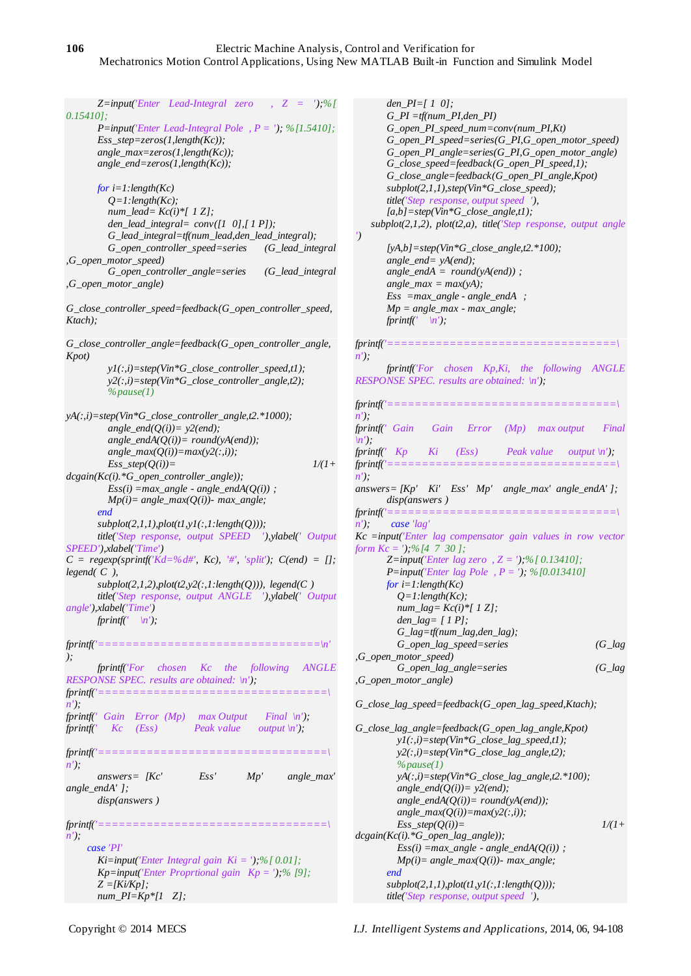*Z=input('Enter Lead-Integral zero , Z = ');%[ 0.15410]; P=input('Enter Lead-Integral Pole , P = '); %[1.5410]; Ess\_step=zeros(1,length(Kc)); angle\_max=zeros(1,length(Kc)); angle\_end=zeros(1,length(Kc)); for i=1:length(Kc) Q=1:length(Kc); num\_lead= Kc(i)\*[ 1 Z]; den\_lead\_integral= conv([1 0],[ 1 P]); G\_lead\_integral=tf(num\_lead,den\_lead\_integral); G\_open\_controller\_speed=series (G\_lead\_integral ,G\_open\_motor\_speed) G\_open\_controller\_angle=series (G\_lead\_integral ,G\_open\_motor\_angle) G\_close\_controller\_speed=feedback(G\_open\_controller\_speed, Ktach); G\_close\_controller\_angle=feedback(G\_open\_controller\_angle, Kpot) y1(:,i)=step(Vin\*G\_close\_controller\_speed,t1); y2(:,i)=step(Vin\*G\_close\_controller\_angle,t2); %pause(1) yA(:,i)=step(Vin\*G\_close\_controller\_angle,t2.\*1000);*  $angle\_end(Q(i))= y2(end);$  *angle\_endA(Q(i))= round(yA(end));*  $angle\_max(Q(i))=max(y2(:,i));$  $Ess\_step(Q(i))=$   $1/(1+$ *dcgain(Kc(i).\*G\_open\_controller\_angle));*  $Ess(i) =max\_angle - angle\_endA(Q(i))$ ;  *Mp(i)= angle\_max(Q(i))- max\_angle; end subplot(2,1,1),plot(t1,y1(:,1:length(Q))); title('Step response, output SPEED '),ylabel(' Output SPEED'),xlabel('Time')*  $C = \text{regexp}(\text{spring}(Kd=0\% d\#', Kc), \#', 'split'), C(\text{end}) = [];$ *legend( C ), subplot(2,1,2),plot(t2,y2(:,1:length(Q))), legend(C ) title('Step response, output ANGLE '),ylabel(' Output angle'),xlabel('Time') fprintf*(' \n'); *fprintf('================================\n' ); fprintf('For chosen Kc the following ANGLE RESPONSE SPEC. results are obtained: \n'); fprintf('=================================\ n'); fprintf(' Gain Error (Mp) max Output Final \n'); fprintf*(' *Kc* (*Ess*) Peak value output  $\langle n' \rangle$ ; *fprintf('=================================\ n'); answers= [Kc' Ess' Mp' angle\_max' angle\_endA' ]; disp(answers )*  $fprintf('==$ *n'); case 'PI' Ki=input('Enter Integral gain Ki = ');%[ 0.01]; Kp=input('Enter Proprtional gain Kp = ');% [9]; Z =[Ki/Kp]; num\_PI=Kp\*[1 Z];*

 *den\_PI=[ 1 0]; G\_PI =tf(num\_PI,den\_PI) G\_open\_PI\_speed\_num=conv(num\_PI,Kt) G\_open\_PI\_speed=series(G\_PI,G\_open\_motor\_speed) G\_open\_PI\_angle=series(G\_PI,G\_open\_motor\_angle) G\_close\_speed=feedback(G\_open\_PI\_speed,1); G\_close\_angle=feedback(G\_open\_PI\_angle,Kpot) subplot(2,1,1),step(Vin\*G\_close\_speed); title('Step response, output speed '), [a,b]=step(Vin\*G\_close\_angle,t1); subplot(2,1,2), plot(t2,a), title('Step response, output angle ') [yA,b]=step(Vin\*G\_close\_angle,t2.\*100); angle\_end= yA(end); angle\_endA = round(yA(end)) ; angle\_max = max(yA); Ess =max\_angle - angle\_endA ; Mp = angle\_max - max\_angle; fprintf*( $\langle n' \rangle$ ; *fprintf('=================================\ n'); fprintf('For chosen Kp,Ki, the following ANGLE RESPONSE SPEC. results are obtained: \n'); fprintf('=================================\ n'); fprintf(' Gain Gain Error (Mp) max output Final \n'); fprintf(' Kp Ki (Ess) Peak value output \n')*; *fprintf('=================================\ n'); answers= [Kp' Ki' Ess' Mp' angle\_max' angle\_endA' ]; disp(answers ) fprintf('=================================\ n'); case 'lag' Kc =input('Enter lag compensator gain values in row vector form Kc = ');%[4 7 30 ]; Z=input('Enter lag zero , Z = ');%[ 0.13410]; P=input('Enter lag Pole , P = '); %[0.013410] for i=1:length(Kc) Q=1:length(Kc); num\_lag= Kc(i)\*[ 1 Z]; den\_lag= [ 1 P]; G\_lag=tf(num\_lag,den\_lag); G\_open\_lag\_speed=series (G\_lag ,G\_open\_motor\_speed) G\_open\_lag\_angle=series (G\_lag ,G\_open\_motor\_angle) G\_close\_lag\_speed=feedback(G\_open\_lag\_speed,Ktach); G\_close\_lag\_angle=feedback(G\_open\_lag\_angle,Kpot) y1(:,i)=step(Vin\*G\_close\_lag\_speed,t1); y2(:,i)=step(Vin\*G\_close\_lag\_angle,t2); %pause(1) yA(:,i)=step(Vin\*G\_close\_lag\_angle,t2.\*100); angle\_end(Q(i))= y2(end); angle\_endA(Q(i))= round(yA(end));*  $angle\_max(Q(i))=max(y2(:,i));$  $Ess\_step(Q(i))=$   $1/(1+$ *dcgain(Kc(i).\*G\_open\_lag\_angle));*  $Ess(i) =max\_angle - angle\_endA(Q(i))$ ;  $Mp(i) = angle\_max(Q(i))$ -  $max\_angle;$  *end subplot(2,1,1),plot(t1,y1(:,1:length(Q)));*

 *title('Step response, output speed '),*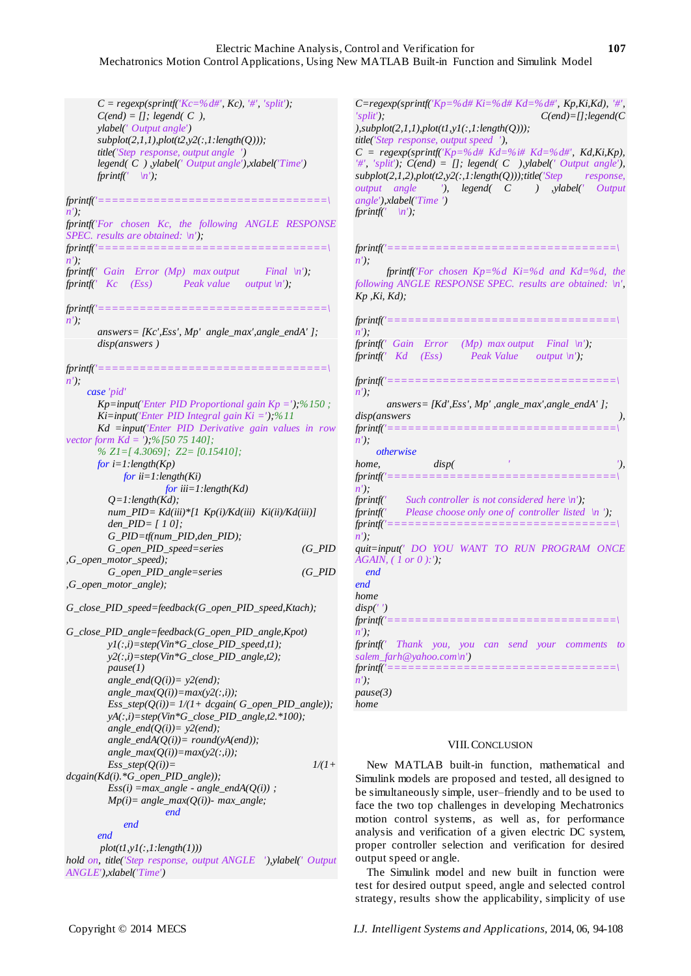# Electric Machine Analysis, Control and Verification for **107** Mechatronics Motion Control Applications, Using New MATLAB Built-in Function and Simulink Model

 $C = \text{regexp}(\text{spring}' Kc = \% d\#', Kc), \#', 'split'),$  *C(end) = []; legend( C ), ylabel(' Output angle') subplot(2,1,1),plot(t2,y2(:,1:length(Q))); title('Step response, output angle ') legend( C ) ,ylabel(' Output angle'),xlabel('Time') fprintf*( $\langle n' \rangle$ ; *fprintf('=================================\ n'); fprintf('For chosen Kc, the following ANGLE RESPONSE SPEC. results are obtained: \n'); fprintf('=================================\ n'); fprintf(' Gain Error (Mp) max output Final \n'); fprintf(' Kc (Ess) Peak value output \n'); fprintf('=================================\ n'); answers= [Kc',Ess', Mp' angle\_max',angle\_endA' ]; disp(answers )*  $fprintf'==$ *n'); case 'pid' Kp=input('Enter PID Proportional gain Kp =');%150 ; Ki=input('Enter PID Integral gain Ki =');%11 Kd =input('Enter PID Derivative gain values in row vector form Kd = ');%[50 75 140]; % Z1=[ 4.3069]; Z2= [0.15410]; for i=1:length(Kp) for ii=1:length(Ki) for iii=1:length(Kd) Q=1:length(Kd); num\_PID= Kd(iii)\*[1 Kp(i)/Kd(iii) Ki(ii)/Kd(iii)] den\_PID= [ 1 0]; G\_PID=tf(num\_PID,den\_PID); G\_open\_PID\_speed=series (G\_PID ,G\_open\_motor\_speed); G\_open\_PID\_angle=series (G\_PID ,G\_open\_motor\_angle); G\_close\_PID\_speed=feedback(G\_open\_PID\_speed,Ktach); G\_close\_PID\_angle=feedback(G\_open\_PID\_angle,Kpot) y1(:,i)=step(Vin\*G\_close\_PID\_speed,t1); y2(:,i)=step(Vin\*G\_close\_PID\_angle,t2); pause(1) angle\_end(Q(i))= y2(end);*  $angle\_max(Q(i))=max(y2(:,i));$  *Ess\_step(Q(i))= 1/(1+ dcgain( G\_open\_PID\_angle)); yA(:,i)=step(Vin\*G\_close\_PID\_angle,t2.\*100); angle\_end(Q(i))= y2(end); angle\_endA(Q(i))= round(yA(end));*  $angle\_max(Q(i))=max(y2(:,i));$  $Ess\_step(Q(i))=$   $1/(1+$ *dcgain(Kd(i).\*G\_open\_PID\_angle));*  $Ess(i) =max\_angle - angle$  *- angle\_endA(Q(i)) ; Mp(i)= angle\_max(Q(i))- max\_angle; end end*

 *end*

 *plot(t1,y1(:,1:length(1))) hold on, title('Step response, output ANGLE '),ylabel(' Output ANGLE'),xlabel('Time')*

output speed or angle. The Simulink model and new built in function were test for desired output speed, angle and selected control

Copyright © 2014 MECS *I.J. Intelligent Systems and Applications,* 2014, 06, 94-108

strategy, results show the applicability, simplicity of use

*output angle '), legend( C ) ,ylabel(' Output angle'),xlabel('Time ') fprintf*(' \n'); *fprintf('=================================\ n'); fprintf('For chosen Kp=%d Ki=%d and Kd=%d, the following ANGLE RESPONSE SPEC. results are obtained: \n', Kp ,Ki, Kd);*  $fprintf' == == =$ *n'); fprintf(' Gain Error (Mp) max output Final \n'); fprintf(' Kd (Ess) Peak Value output \n'); fprintf('=================================\ n'); answers= [Kd',Ess', Mp' ,angle\_max',angle\_endA' ];* disp(answers  $fprintf('======$ *n'); otherwise home, disp( ' '),*   $fprintf'==$ *n'); Such controller is not considered here*  $\langle n' \rangle$ *; fprintf(' Please choose only one of controller listed \n '); fprintf('=================================\ n'); quit=input(' DO YOU WANT TO RUN PROGRAM ONCE AGAIN, ( 1 or 0 ):'); end end home disp(' ') fprintf('=================================\ n'); fprintf(' Thank you, you can send your comments to salem\_farh@yahoo.com\n') fprintf('=================================\ n'); pause(3) home*

*C=regexp(sprintf('Kp=%d# Ki=%d# Kd=%d#', Kp,Ki,Kd), '#', 'split'); C(end)=[];legend(C* 

 $C = regexp(sprintf('Kp=%d# Kd=%i# Kd=%d#', Kd,Ki,Kp),$ *'#', 'split'); C(end) = []; legend( C ),ylabel(' Output angle'), subplot(2,1,2),plot(t2,y2(:,1:length(Q)));title('Step response,* 

*),subplot(2,1,1),plot(t1,y1(:,1:length(Q))); title('Step response, output speed '),*

# VIII.CONCLUSION

New MATLAB built-in function, mathematical and Simulink models are proposed and tested, all designed to be simultaneously simple, user–friendly and to be used to face the two top challenges in developing Mechatronics motion control systems, as well as, for performance analysis and verification of a given electric DC system, proper controller selection and verification for desired